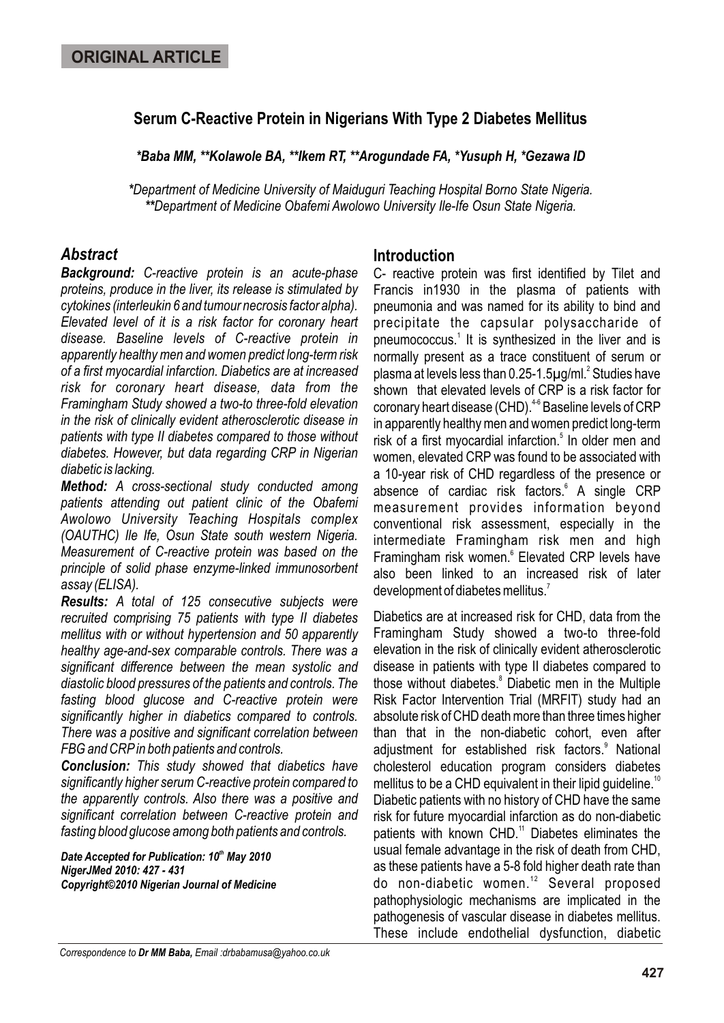## **Serum C-Reactive Protein in Nigerians With Type 2 Diabetes Mellitus**

*\*Baba MM, \*\*Kolawole BA, \*\*Ikem RT, \*\*Arogundade FA, \*Yusuph H, \*Gezawa ID*

*\*Department of Medicine University of Maiduguri Teaching Hospital Borno State Nigeria. \*\*Department of Medicine Obafemi Awolowo University Ile-Ife Osun State Nigeria.* 

# *Abstract*

*Background: C-reactive protein is an acute-phase proteins, produce in the liver, its release is stimulated by cytokines (interleukin 6 and tumour necrosis factor alpha). Elevated level of it is a risk factor for coronary heart disease. Baseline levels of C-reactive protein in apparently healthy men and women predict long-term risk of a first myocardial infarction. Diabetics are at increased risk for coronary heart disease, data from the Framingham Study showed a two-to three-fold elevation in the risk of clinically evident atherosclerotic disease in patients with type II diabetes compared to those without diabetes. However, but data regarding CRP in Nigerian diabetic is lacking.*

*Method: A cross-sectional study conducted among patients attending out patient clinic of the Obafemi Awolowo University Teaching Hospitals complex (OAUTHC) Ile Ife, Osun State south western Nigeria. Measurement of C-reactive protein was based on the principle of solid phase enzyme-linked immunosorbent assay (ELISA).*

*Results: A total of 125 consecutive subjects were recruited comprising 75 patients with type II diabetes mellitus with or without hypertension and 50 apparently healthy age-and-sex comparable controls. There was a significant difference between the mean systolic and diastolic blood pressures of the patients and controls. The fasting blood glucose and C-reactive protein were significantly higher in diabetics compared to controls. There was a positive and significant correlation between FBG and CRP in both patients and controls.*

*Conclusion: This study showed that diabetics have significantly higher serum C-reactive protein compared to the apparently controls. Also there was a positive and significant correlation between C-reactive protein and fasting blood glucose among both patients and controls.*

**Date Accepted for Publication: 10<sup>th</sup> May 2010** *NigerJMed 2010: 427 - 431 Copyright©2010 Nigerian Journal of Medicine*

### **Introduction**

C- reactive protein was first identified by Tilet and Francis in1930 in the plasma of patients with pneumonia and was named for its ability to bind and precipitate the capsular polysaccharide of pneumococcus.<sup>1</sup> It is synthesized in the liver and is normally present as a trace constituent of serum or plasma at levels less than 0.25-1.5µg/ml.<sup>2</sup> Studies have shown that elevated levels of CRP is a risk factor for coronary heart disease (CHD).<sup>46</sup> Baseline levels of CRP in apparently healthy men and women predict long-term risk of a first myocardial infarction.<sup>5</sup> In older men and women, elevated CRP was found to be associated with a 10-year risk of CHD regardless of the presence or absence of cardiac risk factors.<sup>6</sup> A single CRP measurement provides information beyond conventional risk assessment, especially in the intermediate Framingham risk men and high Framingham risk women.<sup>6</sup> Elevated CRP levels have also been linked to an increased risk of later development of diabetes mellitus. $^7$ 

Diabetics are at increased risk for CHD, data from the Framingham Study showed a two-to three-fold elevation in the risk of clinically evident atherosclerotic disease in patients with type II diabetes compared to those without diabetes.<sup>8</sup> Diabetic men in the Multiple Risk Factor Intervention Trial (MRFIT) study had an absolute risk of CHD death more than three times higher than that in the non-diabetic cohort, even after adjustment for established risk factors.<sup>9</sup> National cholesterol education program considers diabetes mellitus to be a CHD equivalent in their lipid quideline.<sup>10</sup> Diabetic patients with no history of CHD have the same risk for future myocardial infarction as do non-diabetic patients with known  $CHD<sup>11</sup>$  Diabetes eliminates the usual female advantage in the risk of death from CHD, as these patients have a 5-8 fold higher death rate than do non-diabetic women.<sup>12</sup> Several proposed pathophysiologic mechanisms are implicated in the pathogenesis of vascular disease in diabetes mellitus. These include endothelial dysfunction, diabetic

*Correspondence to Dr MM Baba, Email :drbabamusa@yahoo.co.uk*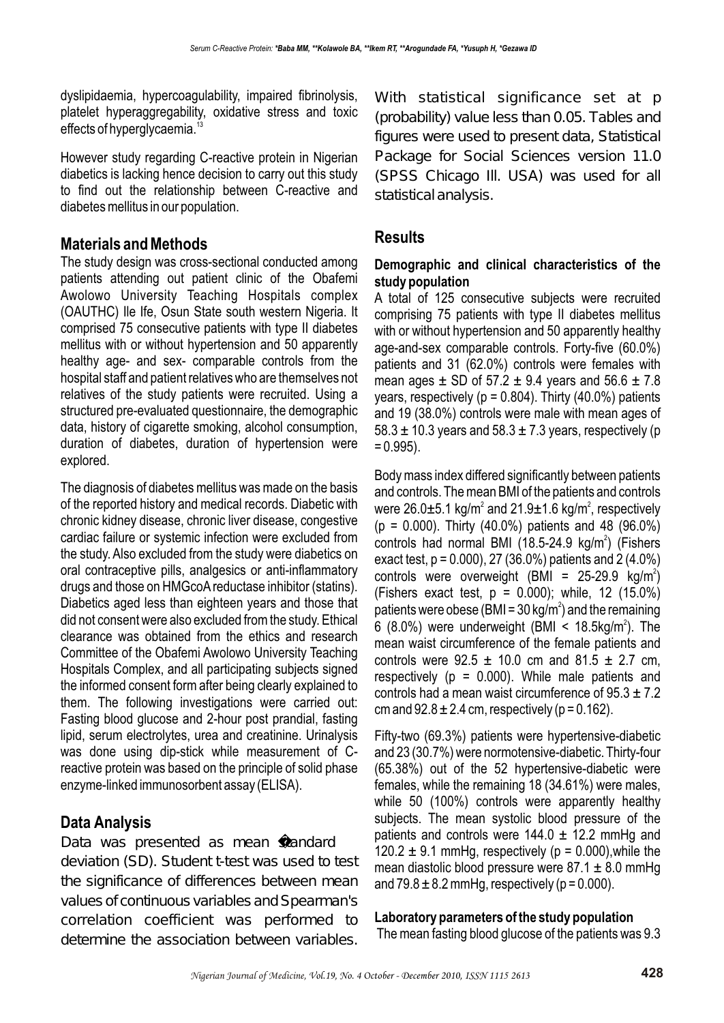dyslipidaemia, hypercoagulability, impaired fibrinolysis, platelet hyperaggregability, oxidative stress and toxic effects of hyperglycaemia.<sup>1</sup>

However study regarding C-reactive protein in Nigerian diabetics is lacking hence decision to carry out this study to find out the relationship between C-reactive and diabetes mellitus in our population.

## **Materials and Methods**

The study design was cross-sectional conducted among patients attending out patient clinic of the Obafemi Awolowo University Teaching Hospitals complex (OAUTHC) Ile Ife, Osun State south western Nigeria. It comprised 75 consecutive patients with type II diabetes mellitus with or without hypertension and 50 apparently healthy age- and sex- comparable controls from the hospital staff and patient relatives who are themselves not relatives of the study patients were recruited. Using a structured pre-evaluated questionnaire, the demographic data, history of cigarette smoking, alcohol consumption, duration of diabetes, duration of hypertension were explored.

The diagnosis of diabetes mellitus was made on the basis of the reported history and medical records. Diabetic with chronic kidney disease, chronic liver disease, congestive cardiac failure or systemic infection were excluded from the study. Also excluded from the study were diabetics on oral contraceptive pills, analgesics or anti-inflammatory drugs and those on HMGcoA reductase inhibitor (statins). Diabetics aged less than eighteen years and those that did not consent were also excluded from the study. Ethical clearance was obtained from the ethics and research Committee of the Obafemi Awolowo University Teaching Hospitals Complex, and all participating subjects signed the informed consent form after being clearly explained to them. The following investigations were carried out: Fasting blood glucose and 2-hour post prandial, fasting lipid, serum electrolytes, urea and creatinine. Urinalysis was done using dip-stick while measurement of Creactive protein was based on the principle of solid phase enzyme-linked immunosorbent assay (ELISA).

# **Data Analysis**

Data was presented as mean standard deviation (SD). Student t-test was used to test the significance of differences between mean values of continuous variables and Spearman's correlation coefficient was performed to determine the association between variables.

With statistical significance set at p (probability) value less than 0.05. Tables and figures were used to present data, Statistical Package for Social Sciences version 11.0 (SPSS Chicago Ill. USA) was used for all statistical analysis.

## **Results**

#### **Demographic and clinical characteristics of the study population**

A total of 125 consecutive subjects were recruited comprising 75 patients with type II diabetes mellitus with or without hypertension and 50 apparently healthy age-and-sex comparable controls. Forty-five (60.0%) patients and 31 (62.0%) controls were females with mean ages  $\pm$  SD of 57.2  $\pm$  9.4 years and 56.6  $\pm$  7.8 years, respectively ( $p = 0.804$ ). Thirty (40.0%) patients and 19 (38.0%) controls were male with mean ages of 58.3  $\pm$  10.3 years and 58.3  $\pm$  7.3 years, respectively (p  $= 0.995$ ).

Body mass index differed significantly between patients and controls. The mean BMI of the patients and controls were  $26.0\pm5.1$  kg/m<sup>2</sup> and  $21.9\pm1.6$  kg/m<sup>2</sup>, respectively (p = 0.000). Thirty (40.0%) patients and 48 (96.0%) controls had normal BMI (18.5-24.9 kg/m<sup>2</sup>) (Fishers exact test,  $p = 0.000$ , 27 (36.0%) patients and 2 (4.0%) controls were overweight (BMI =  $25-29.9$  kg/m<sup>2</sup>) (Fishers exact test,  $p = 0.000$ ); while, 12 (15.0%) patients were obese (BMI = 30 kg/m<sup>2</sup>) and the remaining 6 (8.0%) were underweight (BMI <  $18.5 \text{kg/m}^2$ ). The mean waist circumference of the female patients and controls were  $92.5 \pm 10.0$  cm and  $81.5 \pm 2.7$  cm, respectively ( $p = 0.000$ ). While male patients and controls had a mean waist circumference of  $95.3 \pm 7.2$ cm and  $92.8 \pm 2.4$  cm, respectively ( $p = 0.162$ ).

Fifty-two (69.3%) patients were hypertensive-diabetic and 23 (30.7%) were normotensive-diabetic. Thirty-four (65.38%) out of the 52 hypertensive-diabetic were females, while the remaining 18 (34.61%) were males, while 50 (100%) controls were apparently healthy subjects. The mean systolic blood pressure of the patients and controls were  $144.0 \pm 12.2$  mmHg and 120.2  $\pm$  9.1 mmHg, respectively (p = 0.000), while the mean diastolic blood pressure were  $87.1 \pm 8.0$  mmHg and  $79.8 \pm 8.2$  mmHg, respectively ( $p = 0.000$ ).

## **Laboratory parameters of the study population**

The mean fasting blood glucose of the patients was 9.3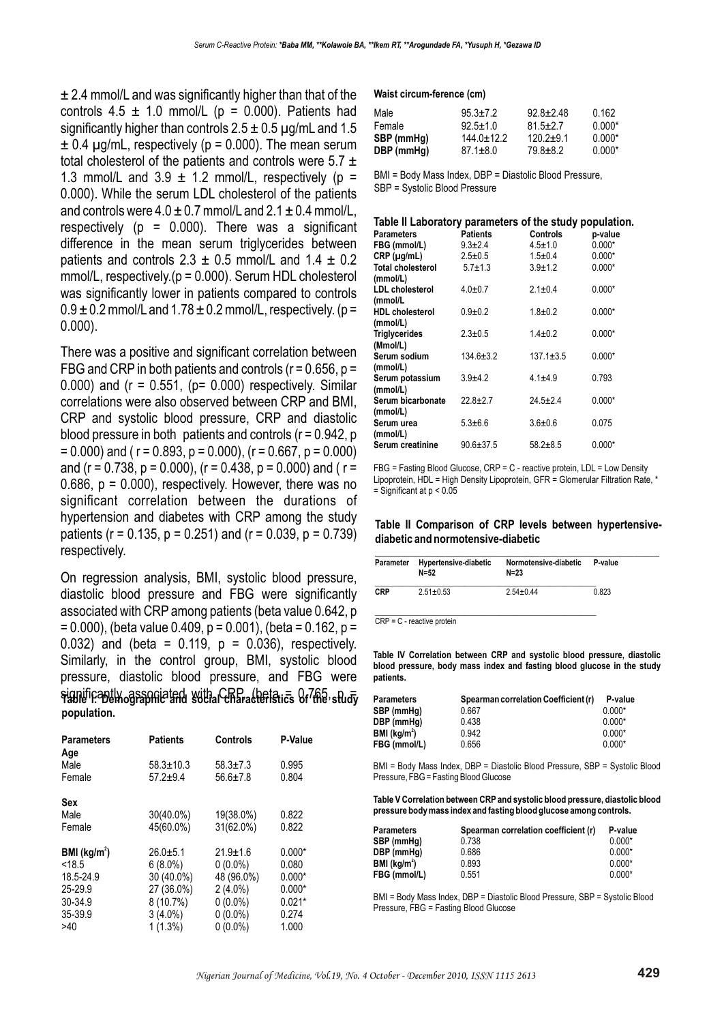± 2.4 mmol/L and was significantly higher than that of the controls  $4.5 \pm 1.0$  mmol/L ( $p = 0.000$ ). Patients had significantly higher than controls  $2.5 \pm 0.5$  µg/mL and 1.5  $\pm$  0.4 µg/mL, respectively (p = 0.000). The mean serum total cholesterol of the patients and controls were  $5.7 \pm$ 1.3 mmol/L and 3.9  $\pm$  1.2 mmol/L, respectively (p = 0.000). While the serum LDL cholesterol of the patients and controls were  $4.0 \pm 0.7$  mmol/L and  $2.1 \pm 0.4$  mmol/L, respectively ( $p = 0.000$ ). There was a significant difference in the mean serum triglycerides between patients and controls  $2.3 \pm 0.5$  mmol/L and  $1.4 \pm 0.2$ mmol/L, respectively.(p = 0.000). Serum HDL cholesterol was significantly lower in patients compared to controls  $0.9 \pm 0.2$  mmol/L and  $1.78 \pm 0.2$  mmol/L, respectively. (p = 0.000).

There was a positive and significant correlation between FBG and CRP in both patients and controls ( $r = 0.656$ ,  $p =$ 0.000) and  $(r = 0.551, (p = 0.000)$  respectively. Similar correlations were also observed between CRP and BMI, CRP and systolic blood pressure, CRP and diastolic blood pressure in both patients and controls  $(r = 0.942, p$  $= 0.000$ ) and ( r = 0.893, p = 0.000), (r = 0.667, p = 0.000) and (r = 0.738, p = 0.000), (r = 0.438, p = 0.000) and (r = 0.686,  $p = 0.000$ ), respectively. However, there was no significant correlation between the durations of hypertension and diabetes with CRP among the study patients ( $r = 0.135$ ,  $p = 0.251$ ) and ( $r = 0.039$ ,  $p = 0.739$ ) respectively.

On regression analysis, BMI, systolic blood pressure, diastolic blood pressure and FBG were significantly associated with CRP among patients (beta value 0.642, p  $= 0.000$ ), (beta value 0.409, p = 0.001), (beta = 0.162, p = 0.032) and (beta =  $0.119$ ,  $p = 0.036$ ), respectively. Similarly, in the control group, BMI, systolic blood pressure, diastolic blood pressure, and FBG were significantly associated with CRP, (beta = 0.765, p = **Table I: Demographic and social characteristics of the study population.**

| <b>Parameters</b><br>Age | <b>Patients</b>                 | Controls                         | P-Value        |
|--------------------------|---------------------------------|----------------------------------|----------------|
| Male<br>Female           | $58.3 \pm 10.3$<br>$57.2 + 9.4$ | $58.3 \pm 7.3$<br>$56.6 \pm 7.8$ | 0.995<br>0.804 |
| Sex                      |                                 |                                  |                |
| Male                     | 30(40.0%)                       | 19(38.0%)                        | 0.822          |
| Female                   | 45(60.0%)                       | 31(62.0%)                        | 0.822          |
| BMI (kg/m <sup>2</sup> ) | $26.0 + 5.1$                    | $21.9 \pm 1.6$                   | $0.000*$       |
| < 18.5                   | $6(8.0\%)$                      | $0(0.0\%)$                       | 0.080          |
| 18.5-24.9                | 30 (40.0%)                      | 48 (96.0%)                       | $0.000*$       |
| 25-29.9                  | 27 (36.0%)                      | $2(4.0\%)$                       | $0.000*$       |
| 30-34.9                  | $8(10.7\%)$                     | $0(0.0\%)$                       | $0.021*$       |
| 35-39.9                  | $3(4.0\%)$                      | $0(0.0\%)$                       | 0.274          |
| >40                      | $1(1.3\%)$                      | $0(0.0\%)$                       | 1.000          |

#### **Waist circum-ference (cm)**

| Male       | $95.3 + 7.2$   | $92.8 + 2.48$ | 0.162    |
|------------|----------------|---------------|----------|
| Female     | $92.5 + 1.0$   | $81.5 + 2.7$  | $0.000*$ |
| SBP (mmHq) | $144.0 + 12.2$ | $120.2 + 9.1$ | $0.000*$ |
| DBP (mmHq) | $87.1 \pm 8.0$ | 79.8+8.2      | $0.000*$ |

BMI = Body Mass Index, DBP = Diastolic Blood Pressure, SBP = Systolic Blood Pressure

#### **Table II Laboratory parameters of the study population.**

| <b>Parameters</b>        | <b>Patients</b> | Controls        | p-value  |
|--------------------------|-----------------|-----------------|----------|
| FBG (mmol/L)             | $9.3 + 2.4$     | $4.5 \pm 1.0$   | $0.000*$ |
| $CRP$ ( $\mu$ g/mL)      | $2.5 \pm 0.5$   | $1.5 \pm 0.4$   | $0.000*$ |
| <b>Total cholesterol</b> | $5.7 \pm 1.3$   | $3.9 + 1.2$     | $0.000*$ |
| (mmol/L)                 |                 |                 |          |
| <b>LDL</b> cholesterol   | $4.0 + 0.7$     | $2.1 \pm 0.4$   | $0.000*$ |
| (mmol/L                  |                 |                 |          |
| <b>HDL</b> cholesterol   | $0.9 + 0.2$     | $1.8 + 0.2$     | $0.000*$ |
| (mmol/L)                 |                 |                 |          |
| <b>Triglycerides</b>     | $2.3 \pm 0.5$   | $1.4 + 0.2$     | $0.000*$ |
| (Mmol/L)                 |                 |                 |          |
| Serum sodium             | $134.6 \pm 3.2$ | $137.1 \pm 3.5$ | $0.000*$ |
| (mmol/L)                 |                 |                 |          |
| Serum potassium          | $3.9 + 4.2$     | $4.1 + 4.9$     | 0.793    |
| (mmol/L)                 |                 |                 |          |
| Serum bicarbonate        | $22.8 \pm 2.7$  | $24.5 \pm 2.4$  | $0.000*$ |
| (mmol/L)                 |                 |                 |          |
| Serum urea               | $5.3 + 6.6$     | $3.6 + 0.6$     | 0.075    |
| (mmol/L)                 |                 |                 |          |
| Serum creatinine         | $90.6 \pm 37.5$ | $58.2 + 8.5$    | $0.000*$ |

FBG = Fasting Blood Glucose, CRP = C - reactive protein, LDL = Low Density Lipoprotein, HDL = High Density Lipoprotein, GFR = Glomerular Filtration Rate, \*  $=$  Significant at  $p < 0.05$ 

#### **Table II Comparison of CRP levels between hypertensivediabetic and normotensive-diabetic**

| Parameter  | Hypertensive-diabetic<br>$N = 52$ | Normotensive-diabetic<br>$N=23$ | P-value |
|------------|-----------------------------------|---------------------------------|---------|
| <b>CRP</b> | $2.51 \pm 0.53$                   | $2.54 + 0.44$                   | 0.823   |
|            | $CRP = C - reactive protein$      |                                 |         |

**Table IV Correlation between CRP and systolic blood pressure, diastolic blood pressure, body mass index and fasting blood glucose in the study patients.**

| Parameters               | Spearman correlation Coefficient (r) | P-value  |
|--------------------------|--------------------------------------|----------|
| SBP (mmHg)               | 0.667                                | $0.000*$ |
| DBP (mmHg)               | 0.438                                | $0.000*$ |
| BMI (kg/m <sup>2</sup> ) | 0.942                                | $0.000*$ |
| FBG (mmol/L)             | 0.656                                | $0.000*$ |

BMI = Body Mass Index, DBP = Diastolic Blood Pressure, SBP = Systolic Blood Pressure, FBG = Fasting Blood Glucose

**Table V Correlation between CRP and systolic blood pressure, diastolic blood pressure body mass index and fasting blood glucose among controls.**

| Parameters               | Spearman correlation coefficient (r) | P-value  |
|--------------------------|--------------------------------------|----------|
| SBP (mmHa)               | 0.738                                | $0.000*$ |
| DBP (mmHg)               | 0.686                                | $0.000*$ |
| BMI (kg/m <sup>2</sup> ) | 0.893                                | $0.000*$ |
| FBG (mmol/L)             | 0.551                                | $0.000*$ |

BMI = Body Mass Index, DBP = Diastolic Blood Pressure, SBP = Systolic Blood Pressure, FBG = Fasting Blood Glucose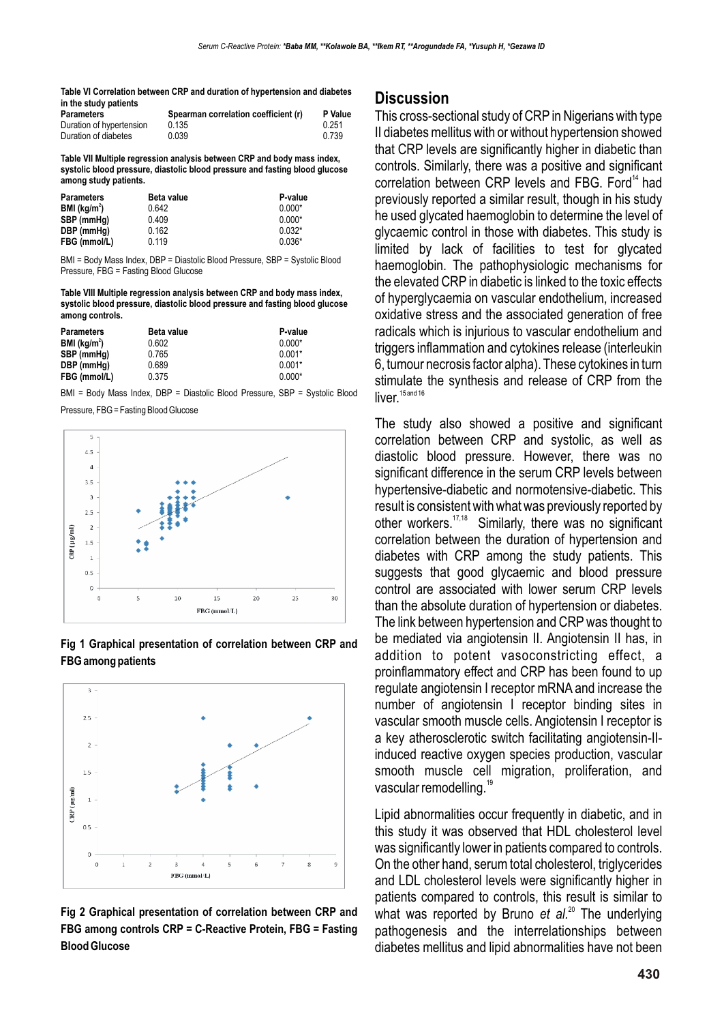**Table VI Correlation between CRP and duration of hypertension and diabetes in the study patients**

| <b>Parameters</b>        | Spearman correlation coefficient (r) | <b>P</b> Value |
|--------------------------|--------------------------------------|----------------|
| Duration of hypertension | 0.135                                | 0.251          |
| Duration of diabetes     | 0.039                                | 0.739          |

**Table VII Multiple regression analysis between CRP and body mass index, systolic blood pressure, diastolic blood pressure and fasting blood glucose among study patients.**

| <b>Parameters</b>        | <b>Beta value</b> | P-value  |
|--------------------------|-------------------|----------|
| BMl (kg/m <sup>2</sup> ) | 0.642             | $0.000*$ |
| SBP (mmHg)               | 0.409             | $0.000*$ |
| DBP (mmHg)               | 0.162             | $0.032*$ |
| FBG (mmol/L)             | 0.119             | $0.036*$ |

BMI = Body Mass Index, DBP = Diastolic Blood Pressure, SBP = Systolic Blood Pressure, FBG = Fasting Blood Glucose

**Table VIII Multiple regression analysis between CRP and body mass index, systolic blood pressure, diastolic blood pressure and fasting blood glucose among controls.**

| <b>Parameters</b>        | <b>Beta value</b> | P-value  |
|--------------------------|-------------------|----------|
| BMI (kg/m <sup>2</sup> ) | 0.602             | $0.000*$ |
| SBP (mmHg)               | 0.765             | $0.001*$ |
| DBP (mmHg)               | 0.689             | $0.001*$ |
| FBG (mmol/L)             | 0.375             | $0.000*$ |

BMI = Body Mass Index, DBP = Diastolic Blood Pressure, SBP = Systolic Blood

Pressure, FBG = Fasting Blood Glucose



**Fig 1 Graphical presentation of correlation between CRP and FBG among patients**



**Fig 2 Graphical presentation of correlation between CRP and FBG among controls CRP = C-Reactive Protein, FBG = Fasting Blood Glucose**

#### **Discussion**

This cross-sectional study of CRP in Nigerians with type II diabetes mellitus with or without hypertension showed that CRP levels are significantly higher in diabetic than controls. Similarly, there was a positive and significant correlation between CRP levels and FBG. Ford<sup>14</sup> had previously reported a similar result, though in his study he used glycated haemoglobin to determine the level of glycaemic control in those with diabetes. This study is limited by lack of facilities to test for glycated haemoglobin. The pathophysiologic mechanisms for the elevated CRP in diabetic is linked to the toxic effects of hyperglycaemia on vascular endothelium, increased oxidative stress and the associated generation of free radicals which is injurious to vascular endothelium and triggers inflammation and cytokines release (interleukin 6, tumour necrosis factor alpha). These cytokines in turn stimulate the synthesis and release of CRP from the  $liver.<sup>15 and 16</sup>$ 

The study also showed a positive and significant correlation between CRP and systolic, as well as diastolic blood pressure. However, there was no significant difference in the serum CRP levels between hypertensive-diabetic and normotensive-diabetic. This result is consistent with what was previously reported by other workers.  $17,18$  Similarly, there was no significant correlation between the duration of hypertension and diabetes with CRP among the study patients. This suggests that good glycaemic and blood pressure control are associated with lower serum CRP levels than the absolute duration of hypertension or diabetes. The link between hypertension and CRP was thought to be mediated via angiotensin II. Angiotensin II has, in addition to potent vasoconstricting effect, a proinflammatory effect and CRP has been found to up regulate angiotensin I receptor mRNA and increase the number of angiotensin I receptor binding sites in vascular smooth muscle cells. Angiotensin I receptor is a key atherosclerotic switch facilitating angiotensin-IIinduced reactive oxygen species production, vascular smooth muscle cell migration, proliferation, and vascular remodelling.<sup>19</sup>

Lipid abnormalities occur frequently in diabetic, and in this study it was observed that HDL cholesterol level was significantly lower in patients compared to controls. On the other hand, serum total cholesterol, triglycerides and LDL cholesterol levels were significantly higher in patients compared to controls, this result is similar to what was reported by Bruno *et al.*<sup>20</sup> The underlying pathogenesis and the interrelationships between diabetes mellitus and lipid abnormalities have not been